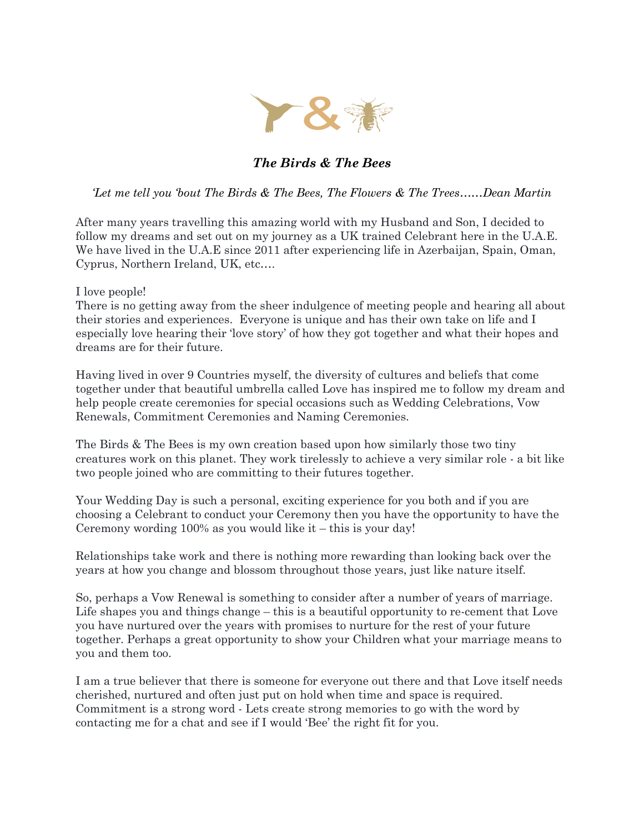

## *The Birds & The Bees*

*'Let me tell you 'bout The Birds & The Bees, The Flowers & The Trees……Dean Martin*

After many years travelling this amazing world with my Husband and Son, I decided to follow my dreams and set out on my journey as a UK trained Celebrant here in the U.A.E. We have lived in the U.A.E since 2011 after experiencing life in Azerbaijan, Spain, Oman, Cyprus, Northern Ireland, UK, etc….

## I love people!

There is no getting away from the sheer indulgence of meeting people and hearing all about their stories and experiences. Everyone is unique and has their own take on life and I especially love hearing their 'love story' of how they got together and what their hopes and dreams are for their future.

Having lived in over 9 Countries myself, the diversity of cultures and beliefs that come together under that beautiful umbrella called Love has inspired me to follow my dream and help people create ceremonies for special occasions such as Wedding Celebrations, Vow Renewals, Commitment Ceremonies and Naming Ceremonies.

The Birds & The Bees is my own creation based upon how similarly those two tiny creatures work on this planet. They work tirelessly to achieve a very similar role - a bit like two people joined who are committing to their futures together.

Your Wedding Day is such a personal, exciting experience for you both and if you are choosing a Celebrant to conduct your Ceremony then you have the opportunity to have the Ceremony wording 100% as you would like it – this is your day!

Relationships take work and there is nothing more rewarding than looking back over the years at how you change and blossom throughout those years, just like nature itself.

So, perhaps a Vow Renewal is something to consider after a number of years of marriage. Life shapes you and things change – this is a beautiful opportunity to re-cement that Love you have nurtured over the years with promises to nurture for the rest of your future together. Perhaps a great opportunity to show your Children what your marriage means to you and them too.

I am a true believer that there is someone for everyone out there and that Love itself needs cherished, nurtured and often just put on hold when time and space is required. Commitment is a strong word - Lets create strong memories to go with the word by contacting me for a chat and see if I would 'Bee' the right fit for you.